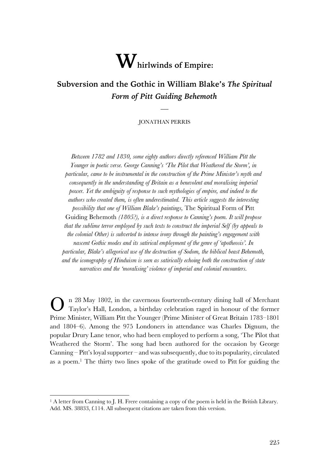# **Whirlwinds of Empire:**

# **Subversion and the Gothic in William Blake's** *The Spiritual Form of Pitt Guiding Behemoth*

#### JONATHAN PERRIS

 $\overline{\phantom{a}}$ 

*Between 1782 and 1830, some eighty authors directly referenced William Pitt the Younger in poetic verse. George Canning's 'The Pilot that Weathered the Storm', in particular, came to be instrumental in the construction of the Prime Minister's myth and consequently in the understanding of Britain as a benevolent and moralising imperial power. Yet the ambiguity of response to such mythologies of empire, and indeed to the authors who created them, is often underestimated. This article suggests the interesting possibility that one of William Blake's paintings,* The Spiritual Form of Pitt Guiding Behemoth *(1805?), is a direct response to Canning's poem. It will propose that the sublime terror employed by such texts to construct the imperial Self (by appeals to the colonial Other) is subverted to intense irony through the painting's engagement with nascent Gothic modes and its satirical employment of the genre of 'apotheosis'. In particular, Blake's allegorical use of the destruction of Sodom, the biblical beast Behemoth, and the iconography of Hinduism is seen as satirically echoing both the construction of state narratives and the 'moralising' violence of imperial and colonial encounters.*

n 28 May 1802, in the cavernous fourteenth-century dining hall of Merchant Taylor's Hall, London, a birthday celebration raged in honour of the former Prime Minister, William Pitt the Younger (Prime Minister of Great Britain 1783–1801 and 1804–6). Among the 975 Londoners in attendance was Charles Dignum, the popular Drury Lane tenor, who had been employed to perform a song, 'The Pilot that Weathered the Storm'. The song had been authored for the occasion by George Canning – Pitt's loyal supporter – and was subsequently, due to its popularity, circulated as a poem. <sup>1</sup> The thirty two lines spoke of the gratitude owed to Pitt for guiding the O

<sup>&</sup>lt;sup>1</sup> A letter from Canning to J. H. Frere containing a copy of the poem is held in the British Library. Add. MS. 38833, f.114. All subsequent citations are taken from this version.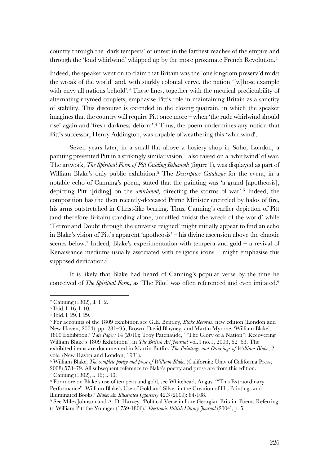country through the 'dark tempests' of unrest in the farthest reaches of the empire and through the 'loud whirlwind' whipped up by the more proximate French Revolution.<sup>2</sup>

Indeed, the speaker went on to claim that Britain was the 'one kingdom preserv'd midst the wreak of the world' and, with starkly colonial verve, the nation '[w]hose example with envy all nations behold'.<sup>3</sup> These lines, together with the metrical predictability of alternating rhymed couplets, emphasise Pitt's role in maintaining Britain as a sanctity of stability. This discourse is extended in the closing quatrain, in which the speaker imagines that the country will require Pitt once more – when 'the rude whirlwind should rise' again and 'fresh darkness deform'. <sup>4</sup> Thus, the poem undermines any notion that Pitt's successor, Henry Addington, was capable of weathering this 'whirlwind'.

Seven years later, in a small flat above a hosiery shop in Soho, London, a painting presented Pitt in a strikingly similar vision – also raised on a 'whirlwind' of war. The artwork, *The Spiritual Form of Pitt Guiding Behemoth* (figure 1), was displayed as part of William Blake's only public exhibition.5 The *Descriptive Catalogue* for the event, in a notable echo of Canning's poem, stated that the painting was 'a grand [apotheosis], depicting Pitt '[riding] on the *whirlwind,* directing the storms of war'.6 Indeed, the composition has the then recently-deceased Prime Minister encircled by halos of fire, his arms outstretched in Christ-like bearing. Thus, Canning's earlier depiction of Pitt (and therefore Britain) standing alone, unruffled 'midst the wreck of the world' while 'Terror and Doubt through the universe reigned' might initially appear to find an echo in Blake's vision of Pitt's apparent 'apotheosis' – his divine ascension above the chaotic scenes below.<sup>7</sup> Indeed, Blake's experimentation with tempera and gold – a revival of Renaissance mediums usually associated with religious icons – might emphasise this supposed deification.<sup>8</sup>

It is likely that Blake had heard of Canning's popular verse by the time he conceived of *The Spiritual Form*, as 'The Pilot' was often referenced and even imitated.<sup>9</sup>

<sup>2</sup> Canning (1802), ll. 1–2.

<sup>3</sup> Ibid. l. 16, l. 10.

<sup>4</sup> Ibid. l. 29, l. 29.

<sup>5</sup> For accounts of the 1809 exhibition see G.E. Bentley, *Blake Records*, new edition (London and New Haven, 2004), pp. 281–95; Brown, David Blayney, and Martin Myrone. 'William Blake's 1809 Exhibition.' *Tate Papers* 14 (2010); Troy Patenaude, '"The Glory of a Nation": Recovering William Blake's 1809 Exhibition', in *The British Art Journal* vol.4 no.1, 2003, 52–63. The exhibited items are documented in Martin Butlin, *The Paintings and Drawings of William Blake*, 2 vols. (New Haven and London, 1981).

<sup>6</sup> William Blake, *The complete poetry and prose of William Blake*. (California: Univ of California Press, 2008) 578–79. All subsequent reference to Blake's poetry and prose are from this edition. <sup>7</sup> Canning (1802), l. 16; l. 13.

<sup>8</sup> For more on Blake's use of tempera and gold, see Whitehead, Angus. '"This Extraordinary Performance": William Blake's Use of Gold and Silver in the Creation of His Paintings and Illuminated Books.' *Blake: An Illustrated Quarterly* 42.3 (2009): 84-108.

<sup>9</sup> See Miles Johnson and A. D. Harvey. 'Political Verse in Late Georgian Britain: Poems Referring to William Pitt the Younger (1759-1806).' *Electronic British Library Journal* (2004), p. 5.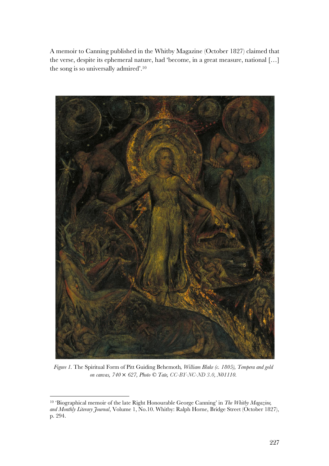A memoir to Canning published in the Whitby Magazine (October 1827) claimed that the verse, despite its ephemeral nature, had 'become, in a great measure, national […] the song is so universally admired'.10



*Figure 1.* The Spiritual Form of Pitt Guiding Behemoth*, William Blake (c. 1805), Tempera and gold on canvas, 740* × *627, Photo © Tate, CC-BY-NC-ND 3.0, N01110.*

<sup>10</sup> 'Biographical memoir of the late Right Honourable George Canning' in *The Whitby Magazine, and Monthly Literary Journal*, Volume 1, No.10. Whitby: Ralph Horne, Bridge Street (October 1827), p. 294.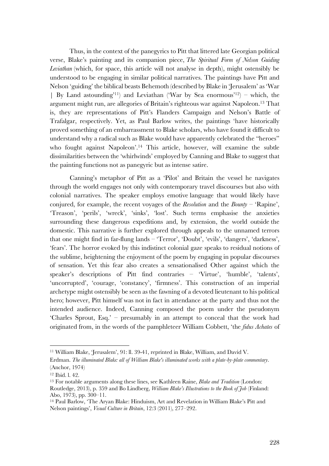Thus, in the context of the panegyrics to Pitt that littered late Georgian political verse, Blake's painting and its companion piece, *The Spiritual Form of Nelson Guiding Leviathan* (which, for space, this article will not analyse in depth), might ostensibly be understood to be engaging in similar political narratives. The paintings have Pitt and Nelson 'guiding' the biblical beasts Behemoth (described by Blake in 'Jerusalem' as 'War | By Land astounding'11) and Leviathan ('War by Sea enormous'12) – which, the argument might run, are allegories of Britain's righteous war against Napoleon. <sup>13</sup> That is, they are representations of Pitt's Flanders Campaign and Nelson's Battle of Trafalgar, respectively. Yet, as Paul Barlow writes, the paintings 'have historically proved something of an embarrassment to Blake scholars, who have found it difficult to understand why a radical such as Blake would have apparently celebrated the "heroes" who fought against Napoleon'. <sup>14</sup> This article, however, will examine the subtle dissimilarities between the 'whirlwinds' employed by Canning and Blake to suggest that the painting functions not as panegyric but as intense satire.

Canning's metaphor of Pitt as a 'Pilot' and Britain the vessel he navigates through the world engages not only with contemporary travel discourses but also with colonial narratives. The speaker employs emotive language that would likely have conjured, for example, the recent voyages of the *Resolution* and the *Bounty* – 'Rapine', 'Treason', 'perils', 'wreck', 'sinks', 'lost'. Such terms emphasise the anxieties surrounding these dangerous expeditions and, by extension, the world outside the domestic. This narrative is further explored through appeals to the unnamed terrors that one might find in far-flung lands – 'Terror', 'Doubt', 'evils', 'dangers', 'darkness', 'fears'. The horror evoked by this indistinct colonial gaze speaks to residual notions of the sublime, heightening the enjoyment of the poem by engaging in popular discourses of sensation. Yet this fear also creates a sensationalised Other against which the speaker's descriptions of Pitt find contraries – 'Virtue', 'humble', 'talents', 'uncorrupted', 'courage, 'constancy', 'firmness'. This construction of an imperial archetype might ostensibly be seen as the fawning of a devoted lieutenant to his political hero; however, Pitt himself was not in fact in attendance at the party and thus not the intended audience. Indeed, Canning composed the poem under the pseudonym 'Charles Sprout, Esq.' – presumably in an attempt to conceal that the work had originated from, in the words of the pamphleteer William Cobbett, 'the *fidus Achates* of

<sup>11</sup> William Blake, 'Jerusalem', 91: ll. 39-41, reprinted in Blake, William, and David V.

Erdman. *The illuminated Blake: all of William Blake's illuminated works with a plate-by-plate commentary*. (Anchor, 1974)

<sup>12</sup> Ibid. l. 42.

<sup>13</sup> For notable arguments along these lines, see Kathleen Raine, *Blake and Tradition* (London: Routledge, 2013), p. 359 and Bo Lindberg, *William Blake's Illustrations to the Book of Job* (Finland: Abo, 1973), pp. 300–11.

<sup>14</sup> Paul Barlow, 'The Aryan Blake: Hinduism, Art and Revelation in William Blake's Pitt and Nelson paintings', *Visual Culture in Britain*, 12:3 (2011), 277–292.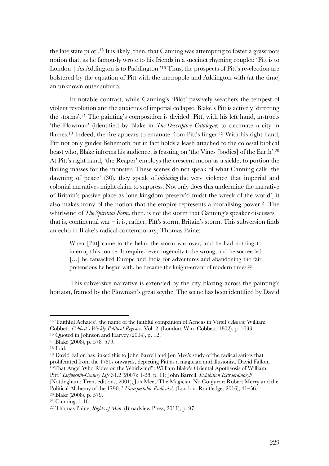the late state pilot'.15 It is likely, then, that Canning was attempting to foster a grassroots notion that, as he famously wrote to his friends in a succinct rhyming couplet: 'Pitt is to London | As Addington is to Paddington.<sup>'16</sup> Thus, the prospects of Pitt's re-election are bolstered by the equation of Pitt with the metropole and Addington with (at the time) an unknown outer suburb.

In notable contrast, while Canning's 'Pilot' passively weathers the tempest of violent revolution and the anxieties of imperial collapse, Blake's Pitt is actively 'directing the storms'.17 The painting's composition is divided: Pitt, with his left hand, instructs 'the Plowman' (identified by Blake in *The Descriptive Catalogue*) to decimate a city in flames.<sup>18</sup> Indeed, the fire appears to emanate from Pitt's finger.<sup>19</sup> With his right hand, Pitt not only guides Behemoth but in fact holds a leash attached to the colossal biblical beast who, Blake informs his audience, is feasting on 'the Vines [bodies] of the Earth'. 20 At Pitt's right hand, 'the Reaper' employs the crescent moon as a sickle, to portion the flailing masses for the monster. These scenes do not speak of what Canning calls 'the dawning of peace' (30), they speak of *initiating* the very violence that imperial and colonial narratives might claim to suppress. Not only does this undermine the narrative of Britain's passive place as 'one kingdom preserv'd midst the wreck of the world', it also makes irony of the notion that the empire represents a moralising power.21 The whirlwind of *The Spiritual Form*, then, is not the storm that Canning's speaker discusses – that is, continental war – it is, rather, Pitt's storm, Britain's storm. This subversion finds an echo in Blake's radical contemporary, Thomas Paine:

When [Pitt] came to the helm, the storm was over, and he had nothing to interrupt his course. It required even ingenuity to be wrong, and he succeeded [...] he ransacked Europe and India for adventures and abandoning the fair pretensions he began with, he became the knight-errant of modern times.22

This subversive narrative is extended by the city blazing across the painting's horizon, framed by the Plowman's great scythe. The scene has been identified by David

 $\overline{a}$ 

Political Alchemy of the 1790s.' *Unrespectable Radicals?*. (London: Routledge, 2016), 41–56. <sup>20</sup> Blake (2008), p. 579.

<sup>15</sup> 'Faithful Achates', the name of the faithful companion of Aeneas in Virgil's *Aeneid*; William Cobbett, *Cobbett's Weekly Political Register*. Vol. 2. (London: Wm. Cobbett, 1802), p. 1033.

<sup>16</sup> Quoted in Johnson and Harvey (2004), p. 12.

<sup>17</sup> Blake (2008), p. 578–579.

<sup>18</sup> Ibid.

<sup>19</sup> David Fallon has linked this to John Barrell and Jon Mee's study of the radical satires that proliferated from the 1780s onwards, depicting Pitt as a magician and illusionist. David Fallon, '"That Angel Who Rides on the Whirlwind": William Blake's Oriental Apotheosis of William Pitt.' *Eighteenth-Century Life* 31.2 (2007): 1-28, p. 11; John Barrell, *Exhibition Extraordinary!!* (Nottingham: Trent editions, 2001); Jon Mee, 'The Magician No Conjuror: Robert Merry and the

<sup>21</sup> Canning, l. 16.

<sup>22</sup> Thomas Paine, *Rights of Man*. (Broadview Press, 2011), p. 97.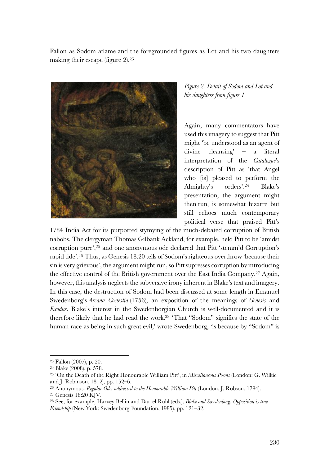Fallon as Sodom aflame and the foregrounded figures as Lot and his two daughters making their escape (figure 2). 23



*Figure 2. Detail of Sodom and Lot and his daughters from figure 1.*

Again, many commentators have used this imagery to suggest that Pitt might 'be understood as an agent of divine cleansing' – a literal interpretation of the *Catalogue*'s description of Pitt as 'that Angel who [is] pleased to perform the Almighty's orders'.24 Blake's presentation, the argument might then run, is somewhat bizarre but still echoes much contemporary political verse that praised Pitt's

1784 India Act for its purported stymying of the much-debated corruption of British nabobs. The clergyman Thomas Gilbank Ackland, for example, held Pitt to be 'amidst corruption pure', <sup>25</sup> and one anonymous ode declared that Pitt 'stemm'd Corruption's rapid tide'.26 Thus, as Genesis 18:20 tells of Sodom's righteous overthrow 'because their sin is very grievous', the argument might run, so Pitt supresses corruption by introducing the effective control of the British government over the East India Company.27 Again, however, this analysis neglects the subversive irony inherent in Blake's text and imagery. In this case, the destruction of Sodom had been discussed at some length in Emanuel Swedenborg's *Arcana Coelestia* (1756), an exposition of the meanings of *Genesis* and *Exodus*. Blake's interest in the Swedenborgian Church is well-documented and it is therefore likely that he had read the work.28 'That "Sodom" signifies the state of the human race as being in such great evil,' wrote Swedenborg, 'is because by "Sodom" is

<sup>23</sup> Fallon (2007), p. 20.

<sup>24</sup> Blake (2008), p. 578.

<sup>25</sup> 'On the Death of the Right Honourable William Pitt', in *Miscellaneous Poems* (London: G. Wilkie and J. Robinson, 1812), pp. 152–6.

<sup>26</sup> Anonymous. *Regular Ode; addressed to the Honourable William Pitt* (London: J. Robson, 1784).

<sup>27</sup> Genesis 18:20 KJV.

<sup>28</sup> See, for example, Harvey Bellin and Darrel Ruhl (eds.), *Blake and Swedenborg: Opposition is true Friendship* (New York: Swedenborg Foundation, 1985), pp. 121–32.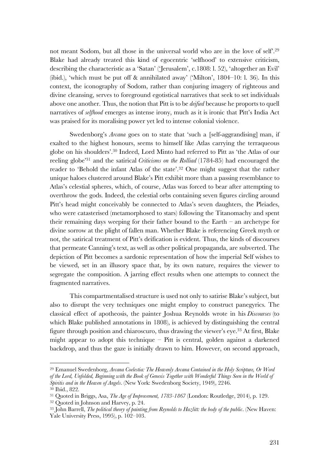not meant Sodom, but all those in the universal world who are in the love of self.<sup>29</sup> Blake had already treated this kind of egocentric 'selfhood' to extensive criticism, describing the characteristic as a 'Satan' ('Jerusalem', c.1808: l. 52), 'altogether an Evil' (ibid.), 'which must be put off & annihilated away' ('Milton', 1804–10: l. 36). In this context, the iconography of Sodom, rather than conjuring imagery of righteous and divine cleansing, serves to foreground egotistical narratives that seek to set individuals above one another. Thus, the notion that Pitt is to be *deified* because he proports to quell narratives of *selfhood* emerges as intense irony, much as it is ironic that Pitt's India Act was praised for its moralising power yet led to intense colonial violence.

Swedenborg's *Arcana* goes on to state that 'such a [self-aggrandising] man, if exalted to the highest honours, seems to himself like Atlas carrying the terraqueous globe on his shoulders'.30 Indeed, Lord Minto had referred to Pitt as 'the Atlas of our reeling globe'31 and the satirical *Criticisms on the Rolliad* (1784-85) had encouraged the reader to 'Behold the infant Atlas of the state'.32 One might suggest that the rather unique haloes clustered around Blake's Pitt exhibit more than a passing resemblance to Atlas's celestial spheres, which, of course, Atlas was forced to bear after attempting to overthrow the gods. Indeed, the celestial orbs containing seven figures circling around Pitt's head might conceivably be connected to Atlas's seven daughters, the Pleiades, who were catasterised (metamorphosed to stars) following the Titanomachy and spent their remaining days weeping for their father bound to the Earth – an archetype for divine sorrow at the plight of fallen man. Whether Blake is referencing Greek myth or not, the satirical treatment of Pitt's deification is evident. Thus, the kinds of discourses that permeate Canning's text, as well as other political propaganda, are subverted. The depiction of Pitt becomes a sardonic representation of how the imperial Self wishes to be viewed, set in an illusory space that, by its own nature, requires the viewer to segregate the composition. A jarring effect results when one attempts to connect the fragmented narratives.

This compartmentalised structure is used not only to satirise Blake's subject, but also to disrupt the very techniques one might employ to construct panegyrics. The classical effect of apotheosis, the painter Joshua Reynolds wrote in his *Discourses* (to which Blake published annotations in 1808), is achieved by distinguishing the central figure through position and chiaroscuro, thus drawing the viewer's eye.33 At first, Blake might appear to adopt this technique – Pitt is central, golden against a darkened backdrop, and thus the gaze is initially drawn to him. However, on second approach,

<sup>29</sup> Emanuel Swedenborg, *Arcana Coelestia: The Heavenly Arcana Contained in the Holy Scripture, Or Word of the Lord, Unfolded, Beginning with the Book of Genesis Together with Wonderful Things Seen in the World of Spiritis and in the Heaven of Angels*. (New York: Swedenborg Society, 1949), 2246.

<sup>30</sup> Ibid., 822.

<sup>31</sup> Quoted in Briggs, Asa, *The Age of Improvement, 1783-1867* (London: Routledge, 2014), p. 129.

<sup>32</sup> Quoted in Johnson and Harvey, p. 24.

<sup>33</sup> John Barrell, *The political theory of painting from Reynolds to Hazlitt: the body of the public*. (New Haven: Yale University Press, 1995), p. 102–103.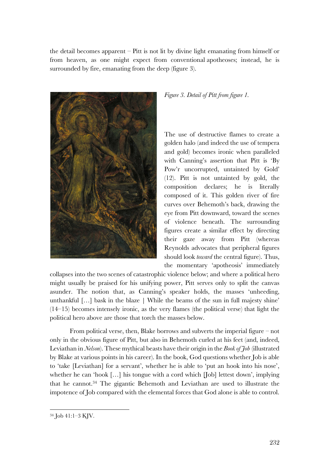the detail becomes apparent – Pitt is not lit by divine light emanating from himself or from heaven, as one might expect from conventional apotheoses; instead, he is surrounded by fire, emanating from the deep (figure 3).



## *Figure 3. Detail of Pitt from figure 1.*

The use of destructive flames to create a golden halo (and indeed the use of tempera and gold) becomes ironic when paralleled with Canning's assertion that Pitt is 'By Pow'r uncorrupted, untainted by Gold' (12). Pitt is not untainted by gold, the composition declares; he is literally composed of it. This golden river of fire curves over Behemoth's back, drawing the eye from Pitt downward, toward the scenes of violence beneath. The surrounding figures create a similar effect by directing their gaze away from Pitt (whereas Reynolds advocates that peripheral figures should look *toward* the central figure). Thus, the momentary 'apotheosis' immediately

collapses into the two scenes of catastrophic violence below; and where a political hero might usually be praised for his unifying power, Pitt serves only to split the canvas asunder. The notion that, as Canning's speaker holds, the masses 'unheeding, unthankful […] bask in the blaze | While the beams of the sun in full majesty shine' (14–15) becomes intensely ironic, as the very flames (the political verse) that light the political hero above are those that torch the masses below.

From political verse, then, Blake borrows and subverts the imperial figure – not only in the obvious figure of Pitt, but also in Behemoth curled at his feet (and, indeed, Leviathan in *Nelson*). These mythical beasts have their origin in the *Book of Job* (illustrated by Blake at various points in his career). In the book, God questions whether Job is able to 'take [Leviathan] for a servant', whether he is able to 'put an hook into his nose', whether he can 'hook [...] his tongue with a cord which [Job] lettest down', implying that he cannot. <sup>34</sup> The gigantic Behemoth and Leviathan are used to illustrate the impotence of Job compared with the elemental forces that God alone is able to control.

<sup>34</sup> Job 41:1–3 KJV.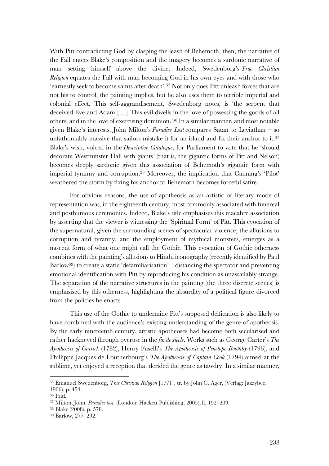With Pitt contradicting God by clasping the leash of Behemoth, then, the narrative of the Fall enters Blake's composition and the imagery becomes a sardonic narrative of man setting himself above the divine. Indeed, Swedenborg's *True Christian Religion* equates the Fall with man becoming God in his own eyes and with those who 'earnestly seek to become saints after death'.35 Not only does Pitt unleash forces that are not his to control, the painting implies, but he also uses them to terrible imperial and colonial effect. This self-aggrandisement, Swedenborg notes, is 'the serpent that deceived Eve and Adam […] This evil dwells in the love of possessing the goods of all others, and in the love of exercising dominion.' <sup>36</sup> In a similar manner, and most notable given Blake's interests, John Milton's *Paradise Lost* compares Satan to Leviathan – so unfathomably massive that sailors mistake it for an island and fix their anchor to it.<sup>37</sup> Blake's wish, voiced in the *Descriptive Catalogue*, for Parliament to vote that he 'should decorate Westminster Hall with giants' (that is, the gigantic forms of Pitt and Nelson) becomes deeply sardonic given this association of Behemoth's gigantic form with imperial tyranny and corruption.38 Moreover, the implication that Canning's 'Pilot' weathered the storm by fixing his anchor to Behemoth becomes forceful satire.

For obvious reasons, the use of apotheosis as an artistic or literary mode of representation was, in the eighteenth century, most commonly associated with funereal and posthumous ceremonies. Indeed, Blake's title emphasises this macabre association by asserting that the viewer is witnessing the 'Spiritual Form' of Pitt. This evocation of the supernatural, given the surrounding scenes of spectacular violence, the allusions to corruption and tyranny, and the employment of mythical monsters, emerges as a nascent form of what one might call the Gothic. This evocation of Gothic otherness combines with the painting's allusions to Hindu iconography (recently identified by Paul Barlow39) to create a static 'defamiliarisation' – distancing the spectator and preventing emotional identification with Pitt by reproducing his condition as unassailably strange. The separation of the narrative structures in the painting (the three discrete scenes) is emphasised by this otherness, highlighting the absurdity of a political figure divorced from the policies he enacts.

This use of the Gothic to undermine Pitt's supposed deification is also likely to have combined with the audience's existing understanding of the genre of apotheosis. By the early nineteenth century, artistic apotheoses had become both secularised and rather hackneyed through overuse in the *fin de siècle*. Works such as George Carter's *The Apotheosis of Garrick* (1782), Henry Fuselli's *The Apotheosis of Penelope Boothby* (1796), and Phillippe Jacques de Loutherbourg's *The Apotheosis of Captain Cook* (1794) aimed at the sublime, yet enjoyed a reception that derided the genre as tawdry. In a similar manner,

<sup>35</sup> Emanuel Swedenborg, *True Christian Religion* [1771], tr. by John C. Ager, (Verlag: Jazzybee, 1906), p. 454.

<sup>36</sup> Ibid.

<sup>37</sup> Milton, John. *Paradise lost*. (London: Hackett Publishing, 2005), ll. 192–209.

<sup>38</sup> Blake (2008), p. 578.

<sup>39</sup> Barlow, 277–292.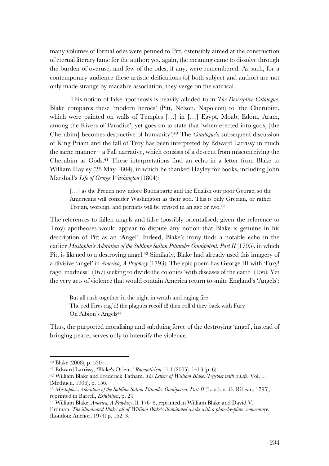many volumes of formal odes were penned to Pitt, ostensibly aimed at the construction of eternal literary fame for the author; yet, again, the meaning came to dissolve through the burden of overuse, and few of the odes, if any, were remembered. As such, for a contemporary audience these artistic deifications (of both subject and author) are not only made strange by macabre association, they verge on the satirical.

This notion of false apotheosis is heavily alluded to in *The Descriptive Catalogue*. Blake compares these 'modern heroes' (Pitt, Nelson, Napoleon) to 'the Cherubim, which were painted on walls of Temples [...] in [...] Egypt, Moab, Edom, Aram, among the Rivers of Paradise', yet goes on to state that 'when erected into gods, [the Cherubim] becomes destructive of humanity'. <sup>40</sup> The *Catalogue*'s subsequent discussion of King Priam and the fall of Troy has been interpreted by Edward Larrissy in much the same manner  $-$  a Fall narrative, which consists of a descent from misconceiving the Cherubim as  $G$ ods.<sup>41</sup> These interpretations find an echo in a letter from Blake to William Hayley (28 May 1804), in which he thanked Hayley for books, including John Marshall's *Life of George Washington* (1804):

[...] as the French now adore Buonaparte and the English our poor George; so the Americans will consider Washington as their god. This is only Grecian, or rather Trojan, worship, and perhaps will be revised in an age or two.42

The references to fallen angels and false (possibly orientalised, given the reference to Troy) apotheoses would appear to dispute any notion that Blake is genuine in his description of Pitt as an 'Angel'. Indeed, Blake's irony finds a notable echo in the earlier *Mustapha's Adoration of the Sublime Sultan Pittander Omnipotent: Part II* (1795), in which Pitt is likened to a destroying angel.<sup>43</sup> Similarly, Blake had already used this imagery of a divisive 'angel' in *America, A Prophecy* (1793). The epic poem has George III with 'Fury! rage! madness!' (167) seeking to divide the colonies 'with diseases of the earth' (156). Yet the very acts of violence that would contain America return to smite England's 'Angels':

But all rush together in the night in wrath and raging fire The red Fires rag'd! the plagues recoil'd! then roll'd they back with Fury On Albion's Angels44

Thus, the purported moralising and subduing force of the destroying 'angel', instead of bringing peace, serves only to intensify the violence.

<sup>40</sup> Blake (2008), p. 530–1.

<sup>41</sup> Edward Larrissy, 'Blake's Orient.' *Romanticism* 11.1 (2005): 1–13 (p. 6).

<sup>42</sup> William Blake and Frederick Tatham. *The Letters of William Blake: Together with a Life*. Vol. 1. (Methuen, 1906), p. 156.

<sup>43</sup> *Mustapha's Adoration of the Sublime Sultan Pittander Omnipotent: Part II* (London: G. Ribeau, 1795), reprinted in Barrell, *Exhibition*, p. 24.

<sup>44</sup> William Blake, *America, A Prophecy*, ll. 176–8, reprinted in William Blake and David V. Erdman. *The illuminated Blake: all of William Blake's illuminated works with a plate-by-plate commentary*. (London: Anchor, 1974) p. 152–3.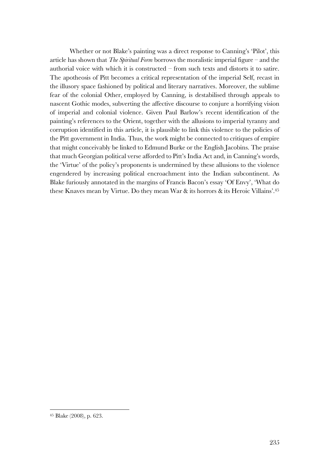Whether or not Blake's painting was a direct response to Canning's 'Pilot', this article has shown that *The Spiritual Form* borrows the moralistic imperial figure – and the authorial voice with which it is constructed – from such texts and distorts it to satire. The apotheosis of Pitt becomes a critical representation of the imperial Self, recast in the illusory space fashioned by political and literary narratives. Moreover, the sublime fear of the colonial Other, employed by Canning, is destabilised through appeals to nascent Gothic modes, subverting the affective discourse to conjure a horrifying vision of imperial and colonial violence. Given Paul Barlow's recent identification of the painting's references to the Orient, together with the allusions to imperial tyranny and corruption identified in this article, it is plausible to link this violence to the policies of the Pitt government in India. Thus, the work might be connected to critiques of empire that might conceivably be linked to Edmund Burke or the English Jacobins. The praise that much Georgian political verse afforded to Pitt's India Act and, in Canning's words, the 'Virtue' of the policy's proponents is undermined by these allusions to the violence engendered by increasing political encroachment into the Indian subcontinent. As Blake furiously annotated in the margins of Francis Bacon's essay 'Of Envy', 'What do these Knaves mean by Virtue. Do they mean War & its horrors & its Heroic Villains'.45

<sup>45</sup> Blake (2008), p. 623.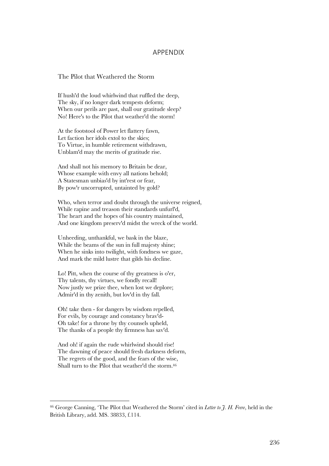### APPENDIX

#### The Pilot that Weathered the Storm

If hush'd the loud whirlwind that ruffled the deep, The sky, if no longer dark tempests deform; When our perils are past, shall our gratitude sleep? No! Here's to the Pilot that weather'd the storm!

At the footstool of Power let flattery fawn, Let faction her idols extol to the skies; To Virtue, in humble retirement withdrawn, Unblam'd may the merits of gratitude rise.

And shall not his memory to Britain be dear, Whose example with envy all nations behold; A Statesman unbias'd by int'rest or fear, By pow'r uncorrupted, untainted by gold?

Who, when terror and doubt through the universe reigned, While rapine and treason their standards unfurl'd, The heart and the hopes of his country maintained, And one kingdom preserv'd midst the wreck of the world.

Unheeding, unthankful, we bask in the blaze, While the beams of the sun in full majesty shine; When he sinks into twilight, with fondness we gaze, And mark the mild lustre that gilds his decline.

Lo! Pitt, when the course of thy greatness is o'er, Thy talents, thy virtues, we fondly recall! Now justly we prize thee, when lost we deplore; Admir'd in thy zenith, but lov'd in thy fall.

Oh! take then - for dangers by wisdom repelled, For evils, by courage and constancy brav'd-Oh take! for a throne by thy counsels upheld, The thanks of a people thy firmness has sav'd.

And oh! if again the rude whirlwind should rise! The dawning of peace should fresh darkness deform, The regrets of the good, and the fears of the wise, Shall turn to the Pilot that weather'd the storm.46

<sup>46</sup> George Canning, 'The Pilot that Weathered the Storm' cited in *Letter to J. H. Frere*, held in the British Library, add. MS. 38833, f.114.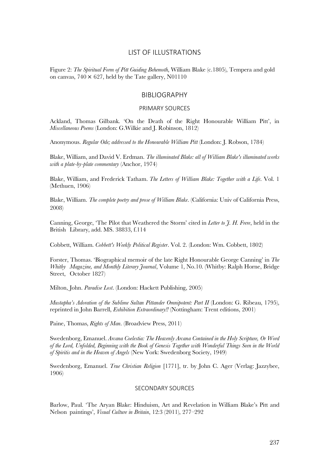### LIST OF ILLUSTRATIONS

Figure 2: *The Spiritual Form of Pitt Guiding Behemoth*, William Blake (c.1805), Tempera and gold on canvas,  $740 \times 627$ , held by the Tate gallery, N01110

#### BIBLIOGRAPHY

#### PRIMARY SOURCES

Ackland, Thomas Gilbank. 'On the Death of the Right Honourable William Pitt', in *Miscellaneous Poems* (London: G.Wilkie and J. Robinson, 1812)

Anonymous. *Regular Ode; addressed to the Honourable William Pitt* (London: J. Robson, 1784)

Blake, William, and David V. Erdman. *The illuminated Blake: all of William Blake's illuminated works with a plate-by-plate commentary* (Anchor, 1974)

Blake, William, and Frederick Tatham. *The Letters of William Blake: Together with a Life*. Vol. 1 (Methuen, 1906)

Blake, William. *The complete poetry and prose of William Blake*. (California: Univ of California Press, 2008)

Canning, George, 'The Pilot that Weathered the Storm' cited in *Letter to J. H. Frere*, held in the British Library, add. MS. 38833, f.114

Cobbett, William. *Cobbett's Weekly Political Register*. Vol. 2. (London: Wm. Cobbett, 1802)

Forster, Thomas. 'Biographical memoir of the late Right Honourable George Canning' in *The Whitby Magazine, and Monthly Literary Journal*, Volume 1, No.10. (Whitby: Ralph Horne, Bridge Street, October 1827)

Milton, John. *Paradise Lost*. (London: Hackett Publishing, 2005)

*Mustapha's Adoration of the Sublime Sultan Pittander Omnipotent: Part II* (London: G. Ribeau, 1795), reprinted in John Barrell, *Exhibition Extraordinary!!* (Nottingham: Trent editions, 2001)

Paine, Thomas, *Rights of Man*. (Broadview Press, 2011)

Swedenborg, Emanuel. *Arcana Coelestia: The Heavenly Arcana Contained in the Holy Scripture, Or Word of the Lord, Unfolded, Beginning with the Book of Genesis Together with Wonderful Things Seen in the World of Spiritis and in the Heaven of Angels* (New York: Swedenborg Society, 1949)

Swedenborg, Emanuel. *True Christian Religion* [1771], tr. by John C. Ager (Verlag: Jazzybee, 1906)

#### SECONDARY SOURCES

Barlow, Paul. 'The Aryan Blake: Hinduism, Art and Revelation in William Blake's Pitt and Nelson paintings', *Visual Culture in Britain*, 12:3 (2011), 277–292